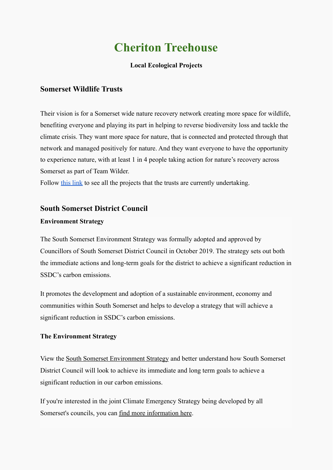# **Cheriton Treehouse**

## **Local Ecological Projects**

## **Somerset Wildlife Trusts**

Their vision is for a Somerset wide nature recovery network creating more space for wildlife, benefiting everyone and playing its part in helping to reverse biodiversity loss and tackle the climate crisis. They want more space for nature, that is connected and protected through that network and managed positively for nature. And they want everyone to have the opportunity to experience nature, with at least 1 in 4 people taking action for nature's recovery across Somerset as part of Team Wilder.

Follow [this link](https://www.somersetwildlife.org/get-involved/projects-local-area) to see all the projects that the trusts are currently undertaking.

## **South Somerset District Council**

### **Environment Strategy**

The South Somerset Environment Strategy was formally adopted and approved by Councillors of South Somerset District Council in October 2019. The strategy sets out both the immediate actions and long-term goals for the district to achieve a significant reduction in SSDC's carbon emissions.

It promotes the development and adoption of a sustainable environment, economy and communities within South Somerset and helps to develop a strategy that will achieve a significant reduction in SSDC's carbon emissions.

### **The Environment Strategy**

View the [South Somerset Environment Strategy](https://www.southsomerset.gov.uk/media/2690/environment-strategy-document-3-final.pdf) and better understand how South Somerset District Council will look to achieve its immediate and long term goals to achieve a significant reduction in our carbon emissions.

If you're interested in the joint Climate Emergency Strategy being developed by all Somerset's councils, you can [find more information](http://www.somerset.gov.uk/climateemergency) here.